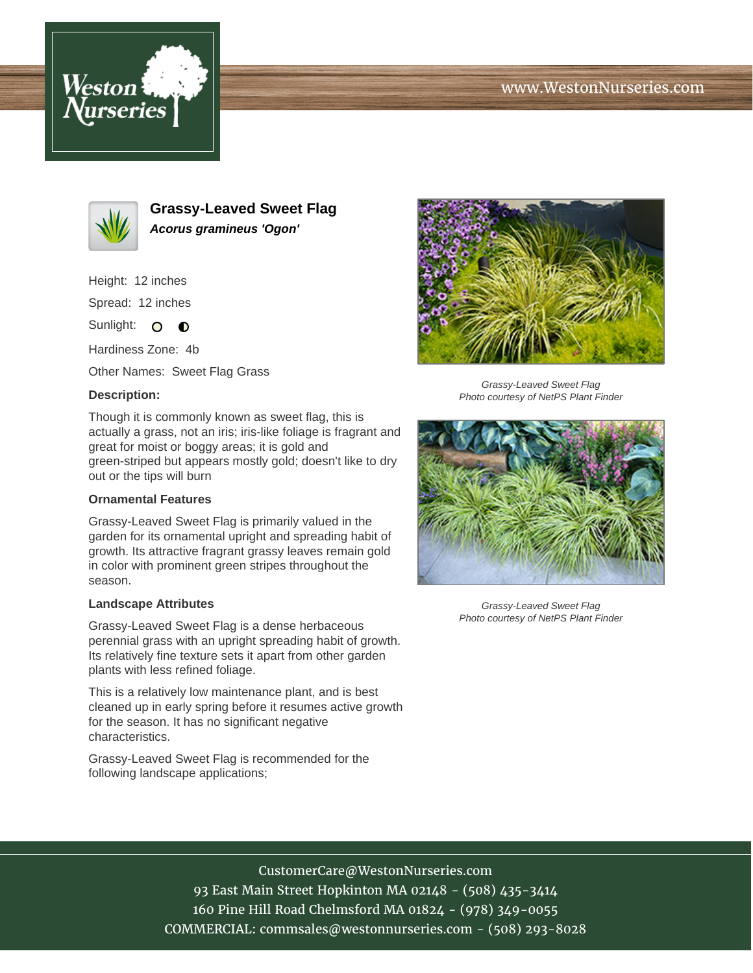# www.WestonNurseries.com





**Grassy-Leaved Sweet Flag Acorus gramineus 'Ogon'**

Height: 12 inches

Spread: 12 inches

Sunlight: O **O** 

Hardiness Zone: 4b

Other Names: Sweet Flag Grass

## **Description:**

Though it is commonly known as sweet flag, this is actually a grass, not an iris; iris-like foliage is fragrant and great for moist or boggy areas; it is gold and green-striped but appears mostly gold; doesn't like to dry out or the tips will burn

### **Ornamental Features**

Grassy-Leaved Sweet Flag is primarily valued in the garden for its ornamental upright and spreading habit of growth. Its attractive fragrant grassy leaves remain gold in color with prominent green stripes throughout the season.

#### **Landscape Attributes**

Grassy-Leaved Sweet Flag is a dense herbaceous perennial grass with an upright spreading habit of growth. Its relatively fine texture sets it apart from other garden plants with less refined foliage.

This is a relatively low maintenance plant, and is best cleaned up in early spring before it resumes active growth for the season. It has no significant negative characteristics.

Grassy-Leaved Sweet Flag is recommended for the following landscape applications;



Grassy-Leaved Sweet Flag Photo courtesy of NetPS Plant Finder



Grassy-Leaved Sweet Flag Photo courtesy of NetPS Plant Finder

CustomerCare@WestonNurseries.com

93 East Main Street Hopkinton MA 02148 - (508) 435-3414 160 Pine Hill Road Chelmsford MA 01824 - (978) 349-0055 COMMERCIAL: commsales@westonnurseries.com - (508) 293-8028